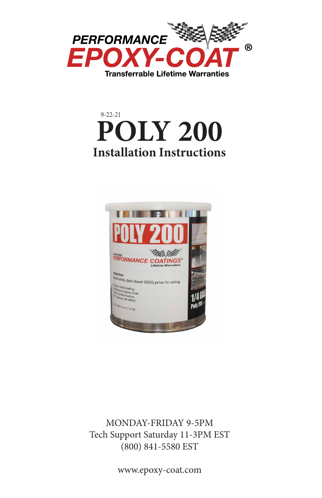





MONDAY-FRIDAY 9-5PM Tech Support Saturday 11-3PM EST (800) 841-5580 EST

www.epoxy-coat.com